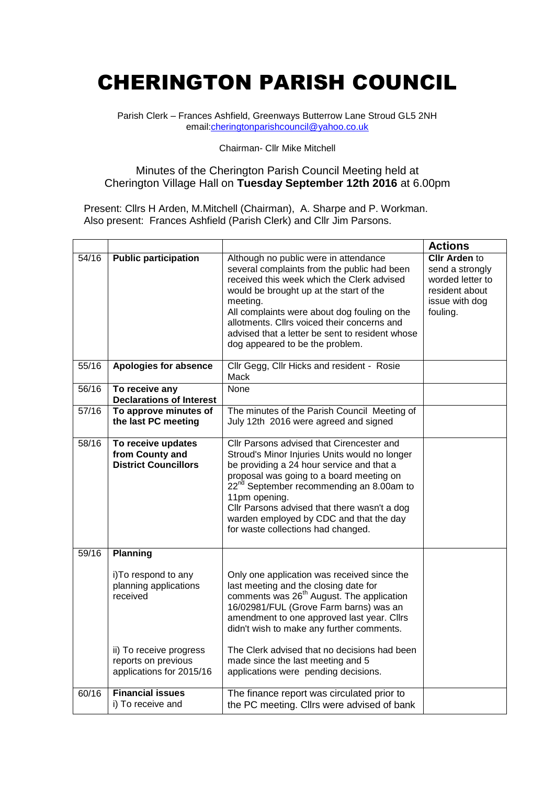## CHERINGTON PARISH COUNCIL

Parish Clerk – Frances Ashfield, Greenways Butterrow Lane Stroud GL5 2NH email[:cheringtonparishcouncil@yahoo.co.uk](mailto:cheringtonparishcouncil@yahoo.co.uk)

## Chairman- Cllr Mike Mitchell

## Minutes of the Cherington Parish Council Meeting held at Cherington Village Hall on **Tuesday September 12th 2016** at 6.00pm

Present: Cllrs H Arden, M.Mitchell (Chairman), A. Sharpe and P. Workman. Also present: Frances Ashfield (Parish Clerk) and Cllr Jim Parsons.

|       |                                                                                                                                                            |                                                                                                                                                                                                                                                                                                                                                                                                                 | <b>Actions</b>                                                                                              |
|-------|------------------------------------------------------------------------------------------------------------------------------------------------------------|-----------------------------------------------------------------------------------------------------------------------------------------------------------------------------------------------------------------------------------------------------------------------------------------------------------------------------------------------------------------------------------------------------------------|-------------------------------------------------------------------------------------------------------------|
| 54/16 | <b>Public participation</b>                                                                                                                                | Although no public were in attendance<br>several complaints from the public had been<br>received this week which the Clerk advised<br>would be brought up at the start of the<br>meeting.<br>All complaints were about dog fouling on the<br>allotments. Cllrs voiced their concerns and<br>advised that a letter be sent to resident whose<br>dog appeared to be the problem.                                  | <b>CIIr Arden to</b><br>send a strongly<br>worded letter to<br>resident about<br>issue with dog<br>fouling. |
| 55/16 | Apologies for absence                                                                                                                                      | Cllr Gegg, Cllr Hicks and resident - Rosie<br>Mack                                                                                                                                                                                                                                                                                                                                                              |                                                                                                             |
| 56/16 | To receive any<br><b>Declarations of Interest</b>                                                                                                          | None                                                                                                                                                                                                                                                                                                                                                                                                            |                                                                                                             |
| 57/16 | To approve minutes of<br>the last PC meeting                                                                                                               | The minutes of the Parish Council Meeting of<br>July 12th 2016 were agreed and signed                                                                                                                                                                                                                                                                                                                           |                                                                                                             |
| 58/16 | To receive updates<br>from County and<br><b>District Councillors</b>                                                                                       | Cllr Parsons advised that Cirencester and<br>Stroud's Minor Injuries Units would no longer<br>be providing a 24 hour service and that a<br>proposal was going to a board meeting on<br>22 <sup>nd</sup> September recommending an 8.00am to<br>11pm opening.<br>Cllr Parsons advised that there wasn't a dog<br>warden employed by CDC and that the day<br>for waste collections had changed.                   |                                                                                                             |
| 59/16 | <b>Planning</b><br>i) To respond to any<br>planning applications<br>received<br>ii) To receive progress<br>reports on previous<br>applications for 2015/16 | Only one application was received since the<br>last meeting and the closing date for<br>comments was 26 <sup>th</sup> August. The application<br>16/02981/FUL (Grove Farm barns) was an<br>amendment to one approved last year. Cllrs<br>didn't wish to make any further comments.<br>The Clerk advised that no decisions had been<br>made since the last meeting and 5<br>applications were pending decisions. |                                                                                                             |
| 60/16 | <b>Financial issues</b><br>i) To receive and                                                                                                               | The finance report was circulated prior to<br>the PC meeting. Cllrs were advised of bank                                                                                                                                                                                                                                                                                                                        |                                                                                                             |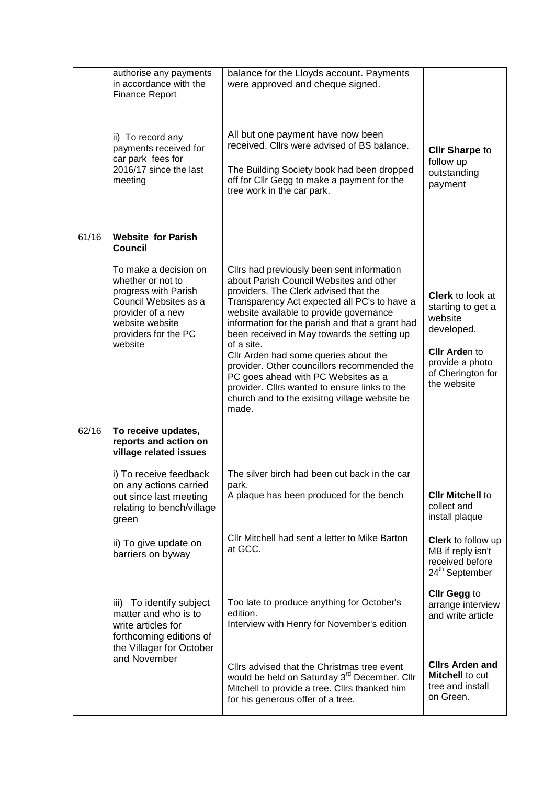|       | authorise any payments<br>in accordance with the<br><b>Finance Report</b>                                                                                              | balance for the Lloyds account. Payments<br>were approved and cheque signed.                                                                                                                                                                                                                                                                                                                                                                                                                                                                                                        |                                                                                                                                                      |
|-------|------------------------------------------------------------------------------------------------------------------------------------------------------------------------|-------------------------------------------------------------------------------------------------------------------------------------------------------------------------------------------------------------------------------------------------------------------------------------------------------------------------------------------------------------------------------------------------------------------------------------------------------------------------------------------------------------------------------------------------------------------------------------|------------------------------------------------------------------------------------------------------------------------------------------------------|
|       | ii) To record any<br>payments received for<br>car park fees for<br>2016/17 since the last<br>meeting                                                                   | All but one payment have now been<br>received. Cllrs were advised of BS balance.<br>The Building Society book had been dropped<br>off for Cllr Gegg to make a payment for the<br>tree work in the car park.                                                                                                                                                                                                                                                                                                                                                                         | <b>CIIr Sharpe to</b><br>follow up<br>outstanding<br>payment                                                                                         |
| 61/16 | <b>Website for Parish</b><br>Council                                                                                                                                   |                                                                                                                                                                                                                                                                                                                                                                                                                                                                                                                                                                                     |                                                                                                                                                      |
|       | To make a decision on<br>whether or not to<br>progress with Parish<br>Council Websites as a<br>provider of a new<br>website website<br>providers for the PC<br>website | Cllrs had previously been sent information<br>about Parish Council Websites and other<br>providers. The Clerk advised that the<br>Transparency Act expected all PC's to have a<br>website available to provide governance<br>information for the parish and that a grant had<br>been received in May towards the setting up<br>of a site.<br>Cllr Arden had some queries about the<br>provider. Other councillors recommended the<br>PC goes ahead with PC Websites as a<br>provider. Cllrs wanted to ensure links to the<br>church and to the exisitng village website be<br>made. | <b>Clerk</b> to look at<br>starting to get a<br>website<br>developed.<br><b>CIIr Arden to</b><br>provide a photo<br>of Cherington for<br>the website |
| 62/16 | To receive updates,<br>reports and action on<br>village related issues                                                                                                 |                                                                                                                                                                                                                                                                                                                                                                                                                                                                                                                                                                                     |                                                                                                                                                      |
|       | i) To receive feedback<br>on any actions carried                                                                                                                       | The silver birch had been cut back in the car<br>park.                                                                                                                                                                                                                                                                                                                                                                                                                                                                                                                              |                                                                                                                                                      |
|       | out since last meeting<br>relating to bench/village<br>green                                                                                                           | A plaque has been produced for the bench                                                                                                                                                                                                                                                                                                                                                                                                                                                                                                                                            | <b>CIIr Mitchell to</b><br>collect and<br>install plaque                                                                                             |
|       | ii) To give update on<br>barriers on byway                                                                                                                             | Cllr Mitchell had sent a letter to Mike Barton<br>at GCC.                                                                                                                                                                                                                                                                                                                                                                                                                                                                                                                           | Clerk to follow up<br>MB if reply isn't<br>received before<br>24 <sup>th</sup> September                                                             |
|       | To identify subject<br>iii)<br>matter and who is to<br>write articles for<br>forthcoming editions of<br>the Villager for October                                       | Too late to produce anything for October's<br>edition.<br>Interview with Henry for November's edition                                                                                                                                                                                                                                                                                                                                                                                                                                                                               | <b>Clir Gegg to</b><br>arrange interview<br>and write article                                                                                        |
|       | and November                                                                                                                                                           | Cllrs advised that the Christmas tree event<br>would be held on Saturday 3 <sup>rd</sup> December. Cllr<br>Mitchell to provide a tree. Cllrs thanked him<br>for his generous offer of a tree.                                                                                                                                                                                                                                                                                                                                                                                       | <b>Clirs Arden and</b><br><b>Mitchell to cut</b><br>tree and install<br>on Green.                                                                    |